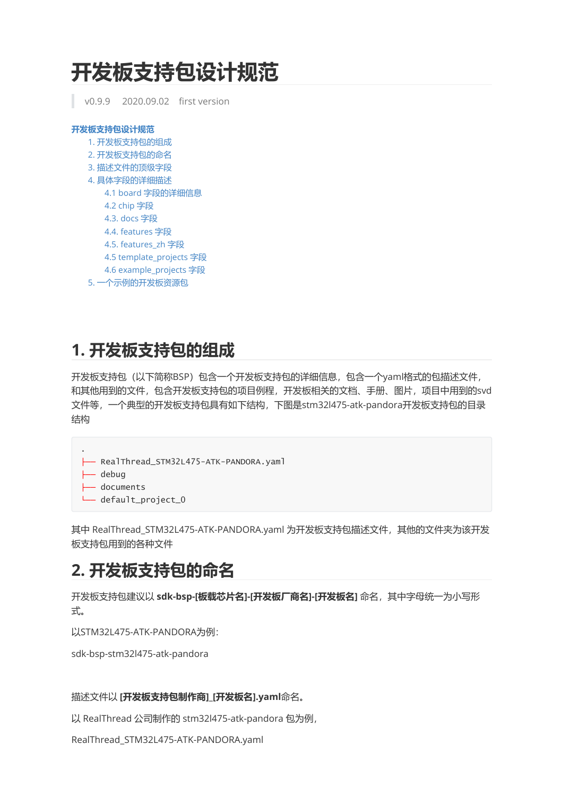# **开发板支持包设计规范**

<span id="page-0-0"></span>v0.9.9 2020.09.02 first version

| 开发板支持包设计规范               |  |
|--------------------------|--|
| 1. 开发板支持包的组成             |  |
| 2. 开发板支持包的命名             |  |
| 3. 描述文件的顶级字段             |  |
| 4. 具体字段的详细描述             |  |
| 4.1 board 字段的详细信息        |  |
| 4.2 chip 字段              |  |
| 4.3. docs 字段             |  |
| 4.4. features 字段         |  |
| 4.5. features zh 字段      |  |
| 4.5 template_projects 字段 |  |
| 4.6 example_projects 字段  |  |
| 5. 一个示例的开发板资源包           |  |
|                          |  |

# <span id="page-0-1"></span>**1. 开发板支持包的组成**

开发板支持包(以下简称BSP)包含一个开发板支持包的详细信息,包含一个yaml格式的包描述文件, 和其他用到的文件,包含开发板支持包的项目例程,开发板相关的文档、手册、图片,项目中用到的svd 文件等,一个典型的开发板支持包具有如下结构,下图是stm32l475-atk-pandora开发板支持包的目录 结构

```
├── RealThread_STM32L475-ATK-PANDORA.yaml
```
├── debug

.

- <span id="page-0-2"></span>├── documents
	- default\_project\_0

其中 RealThread STM32L475-ATK-PANDORA.yaml 为开发板支持包描述文件, 其他的文件夹为该开发 板支持包用到的各种文件

# **2. 开发板支持包的命名**

开发板支持包建议以 **sdk-bsp-[板载芯片名]-[开发板厂商名]-[开发板名]** 命名,其中字母统一为小写形 式。

以STM32L475-ATK-PANDORA为例:

sdk-bsp-stm32l475-atk-pandora

描述文件以 **[开发板支持包制作商]\_[开发板名].yaml**命名。

以 RealThread 公司制作的 stm32l475-atk-pandora 包为例,

RealThread\_STM32L475-ATK-PANDORA.yaml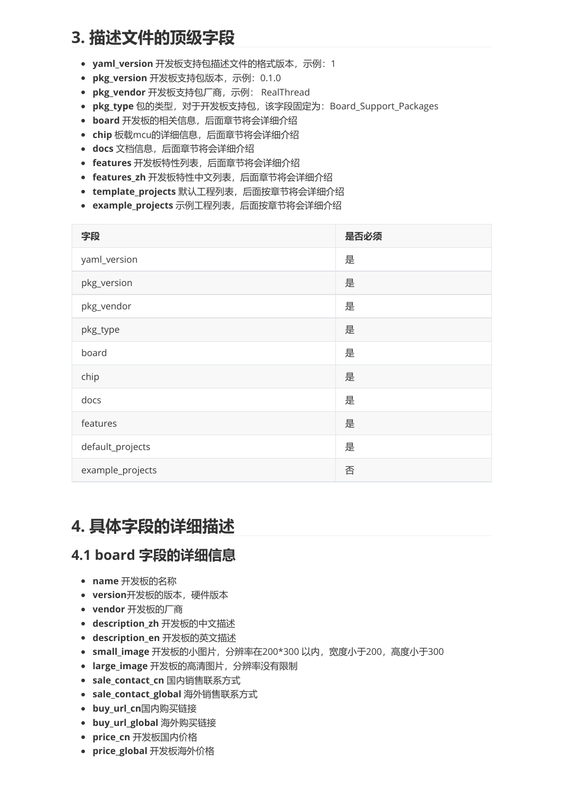# **3. 描述文件的顶级字段**

- <span id="page-1-0"></span>**yaml\_version** 开发板支持包描述文件的格式版本,示例:1
- **pkg\_version** 开发板支持包版本,示例:0.1.0
- **pkg\_vendor** 开发板支持包厂商,示例: RealThread
- **pkg\_type** 包的类型,对于开发板支持包,该字段固定为:Board\_Support\_Packages
- **board** 开发板的相关信息,后面章节将会详细介绍
- **chip** 板载mcu的详细信息,后面章节将会详细介绍
- **docs** 文档信息,后面章节将会详细介绍
- **features** 开发板特性列表,后面章节将会详细介绍
- **features\_zh** 开发板特性中文列表,后面章节将会详细介绍
- **template\_projects** 默认工程列表,后面按章节将会详细介绍
- **example\_projects** 示例工程列表,后面按章节将会详细介绍

| 字段               | 是否必须 |
|------------------|------|
| yaml_version     | 是    |
| pkg_version      | 是    |
| pkg_vendor       | 是    |
| pkg_type         | 是    |
| board            | 是    |
| chip             | 是    |
| docs             | 是    |
| features         | 是    |
| default_projects | 是    |
| example_projects | 否    |

# **4. 具体字段的详细描述**

### **4.1 board 字段的详细信息**

- <span id="page-1-2"></span><span id="page-1-1"></span>**name** 开发板的名称
- **version**开发板的版本,硬件版本
- **vendor** 开发板的厂商
- **description\_zh** 开发板的中文描述
- **description\_en** 开发板的英文描述
- **small\_image** 开发板的小图片,分辨率在200\*300 以内,宽度小于200,高度小于300
- **large\_image** 开发板的高清图片,分辨率没有限制
- **sale\_contact\_cn** 国内销售联系方式
- **sale\_contact\_global** 海外销售联系方式
- **buy\_url\_cn**国内购买链接
- **buy\_url\_global** 海外购买链接
- **price\_cn** 开发板国内价格
- **price\_global** 开发板海外价格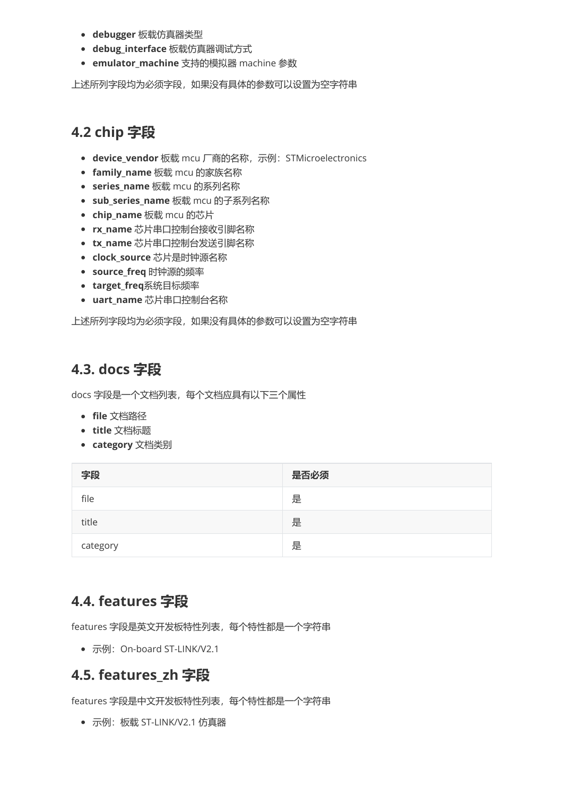- **debugger** 板载仿真器类型
- **debug\_interface** 板载仿真器调试方式
- **emulator\_machine** 支持的模拟器 machine 参数

上述所列字段均为必须字段,如果没有具体的参数可以设置为空字符串

### **4.2 chip 字段**

- <span id="page-2-0"></span>● device\_vendor 板载 mcu 厂商的名称,示例: STMicroelectronics
- **family\_name** 板载 mcu 的家族名称
- **series\_name** 板载 mcu 的系列名称
- **sub\_series\_name** 板载 mcu 的子系列名称
- **chip\_name** 板载 mcu 的芯片
- **rx\_name** 芯片串口控制台接收引脚名称
- **tx\_name** 芯片串口控制台发送引脚名称
- **clock\_source** 芯片是时钟源名称
- **source\_freq** 时钟源的频率
- **target\_freq**系统目标频率
- **uart\_name** 芯片串口控制台名称

上述所列字段均为必须字段,如果没有具体的参数可以设置为空字符串

#### **4.3. docs 字段**

docs 字段是一个文档列表,每个文档应具有以下三个属性

- <span id="page-2-1"></span>**file** 文档路径
- **title** 文档标题
- **category** 文档类别

| 字段       | 是否必须 |
|----------|------|
| file     | 是    |
| title    | 是    |
| category | 是    |

#### **4.4. features 字段**

features 字段是英文开发板特性列表,每个特性都是一个字符串

<span id="page-2-3"></span><span id="page-2-2"></span>• 示例: On-board ST-LINK/V2.1

#### **4.5. features\_zh 字段**

features 字段是中文开发板特性列表,每个特性都是一个字符串

示例:板载 ST-LINK/V2.1 仿真器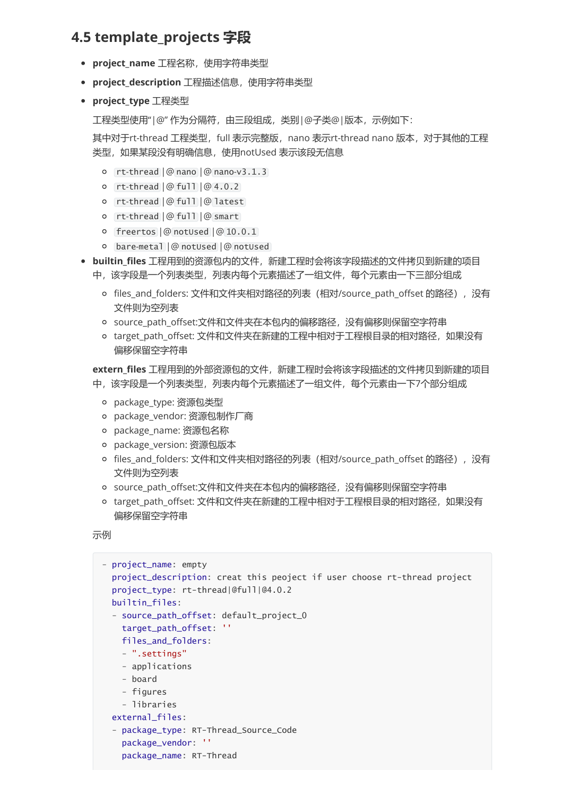#### **4.5 template\_projects 字段**

- **project\_name** 工程名称,使用字符串类型
- **project\_description** 工程描述信息,使用字符串类型
- **project\_type** 工程类型

<span id="page-3-0"></span>工程类型使用"|@" 作为分隔符,由三段组成,类别|@子类@|版本,示例如下:

其中对于rt-thread 工程类型, full 表示完整版, nano 表示rt-thread nano 版本, 对于其他的工程 类型,如果某段没有明确信息,使用notUsed 表示该段无信息

- rt-thread |@ nano |@ nano-v3.1.3
- rt-thread |@ full |@ 4.0.2
- rt-thread |@ full |@ latest
- rt-thread |@ full |@ smart
- freertos |@ notUsed |@ 10.0.1
- bare-metal |@ notUsed |@ notUsed
- **builtin\_files** 工程用到的资源包内的文件,新建工程时会将该字段描述的文件拷贝到新建的项目
	- 中,该字段是一个列表类型,列表内每个元素描述了一组文件,每个元素由一下三部分组成
		- files\_and\_folders: 文件和文件夹相对路径的列表(相对/source\_path\_offset 的路径),没有 文件则为空列表
		- source\_path\_offset:文件和文件夹在本包内的偏移路径,没有偏移则保留空字符串
		- o target\_path\_offset: 文件和文件夹在新建的工程中相对于工程根目录的相对路径, 如果没有 偏移保留空字符串

**extern\_files** 工程用到的外部资源包的文件,新建工程时会将该字段描述的文件拷贝到新建的项目 中,该字段是一个列表类型,列表内每个元素描述了一组文件,每个元素由一下7个部分组成

- package\_type: 资源包类型
- package\_vendor: 资源包制作厂商
- package\_name: 资源包名称
- package\_version: 资源包版本
- files\_and\_folders: 文件和文件夹相对路径的列表(相对/source\_path\_offset 的路径),没有 文件则为空列表
- source\_path\_offset:文件和文件夹在本包内的偏移路径,没有偏移则保留空字符串
- o target path offset: 文件和文件夹在新建的工程中相对于工程根目录的相对路径, 如果没有 偏移保留空字符串

示例

```
- project_name: empty
 project_description: creat this peoject if user choose rt-thread project
 project_type: rt-thread|@full|@4.0.2
 builtin_files:
  - source_path_offset: default_project_0
   target path offset: ''
   files and folders:
   - ".settings"
    - applications
    - board
    - figures
    - libraries
 external_files:
  - package_type: RT-Thread_Source_Code
    package_vendor: ''
    package_name: RT-Thread
```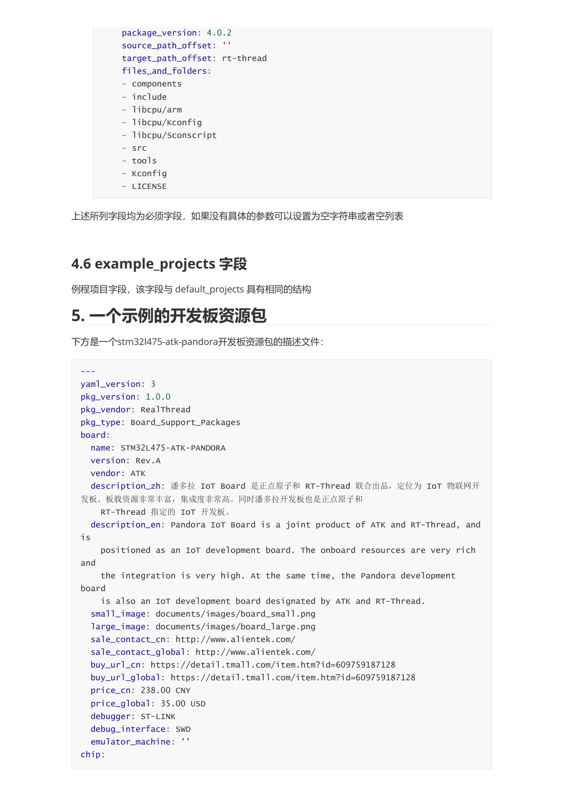| package_version: 4.0.2        |
|-------------------------------|
| ,,<br>source_path_offset:     |
| target_path_offset: rt-thread |
| files_and_folders:            |
| - components                  |
| - include                     |
| - libcpu/arm                  |
| - libcpu/Kconfig              |
| - libcpu/Sconscript           |
| - src                         |
| - tools                       |
| - Kconfiq                     |

上述所列字段均为必须字段,如果没有具体的参数可以设置为空字符串或者空列表

#### **4.6 example\_projects 字段**

<span id="page-4-1"></span><span id="page-4-0"></span>- LICENSE

例程项目字段,该字段与 default\_projects 具有相同的结构

### **5. 一个示例的开发板资源包**

下方是一个stm32l475-atk-pandora开发板资源包的描述文件:

```
---
yaml_version: 3
pkg_version: 1.0.0
pkg_vendor: RealThread
pkg_type: Board_Support_Packages
board:
 name: STM32L475-ATK-PANDORA
 version: Rev.A
 vendor: ATK
 description_zh: 潘多拉 IoT Board 是正点原子和 RT-Thread 联合出品,定位为 IoT 物联网开
发板。板载资源非常丰富,集成度非常高。同时潘多拉开发板也是正点原子和
   RT-Thread 指定的 IoT 开发板。
 description_en: Pandora IoT Board is a joint product of ATK and RT-Thread, and
is
    positioned as an IoT development board. The onboard resources are very rich
and
   the integration is very high. At the same time, the Pandora development
board
   is also an IoT development board designated by ATK and RT-Thread.
  small_image: documents/images/board_small.png
  large_image: documents/images/board_large.png
  sale_contact_cn: http://www.alientek.com/
  sale_contact_global: http://www.alientek.com/
  buy_url_cn: https://detail.tmall.com/item.htm?id=609759187128
  buy_url_global: https://detail.tmall.com/item.htm?id=609759187128
  price_cn: 238.00 CNY
  price_global: 35.00 USD
  debugger: ST-LINK
  debug_interface: SWD
  emulator_machine: ''
chip:
```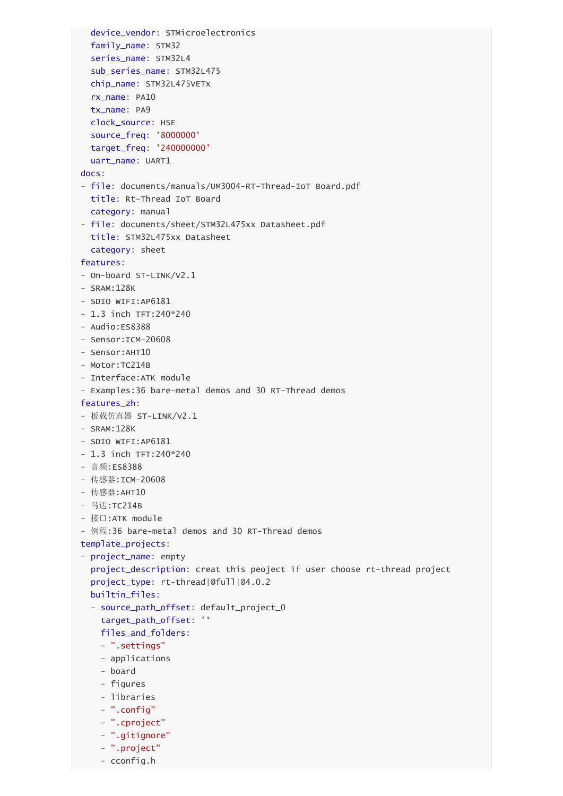```
device_vendor: STMicroelectronics
  family_name: STM32
  series_name: STM32L4
  sub_series_name: STM32L475
  chip_name: STM32L475VETx
  rx_name: PA10
  tx_name: PA9
  clock_source: HSE
  source_freq: '8000000'
  target_freq: '240000000'
  uart_name: UART1
docs:
- file: documents/manuals/UM3004-RT-Thread-IoT Board.pdf
 title: Rt-Thread IoT Board
  category: manual
- file: documents/sheet/STM32L475xx Datasheet.pdf
 title: STM32L475xx Datasheet
  category: sheet
features:
- On-board ST-LINK/V2.1
- SRAM:128K
- SDIO WIFI:AP6181
- 1.3 inch TFT:240*240
- Audio:ES8388
- Sensor:ICM-20608
- Sensor:AHT10
- Motor:TC214B
- Interface:ATK module
- Examples:36 bare-metal demos and 30 RT-Thread demos
features_zh:
- 板载仿真器 ST-LINK/V2.1
- SRAM:128K
- SDIO WIFI:AP6181
- 1.3 inch TFT:240*240
- 音频:ES8388
- 传感器:ICM-20608
- 传感器:AHT10
- 马达:TC214B
- 接口:ATK module
- 例程:36 bare-metal demos and 30 RT-Thread demos
template_projects:
- project_name: empty
  project_description: creat this peoject if user choose rt-thread project
  project_type: rt-thread|@full|@4.0.2
  builtin_files:
  - source_path_offset: default_project_0
   target_path_offset: ''
   files_and_folders:
   - ".settings"
    - applications
   - board
    - figures
   - libraries
    - ".config"
   - ".cproject"
    - ".gitignore"
    - ".project"
    - cconfig.h
```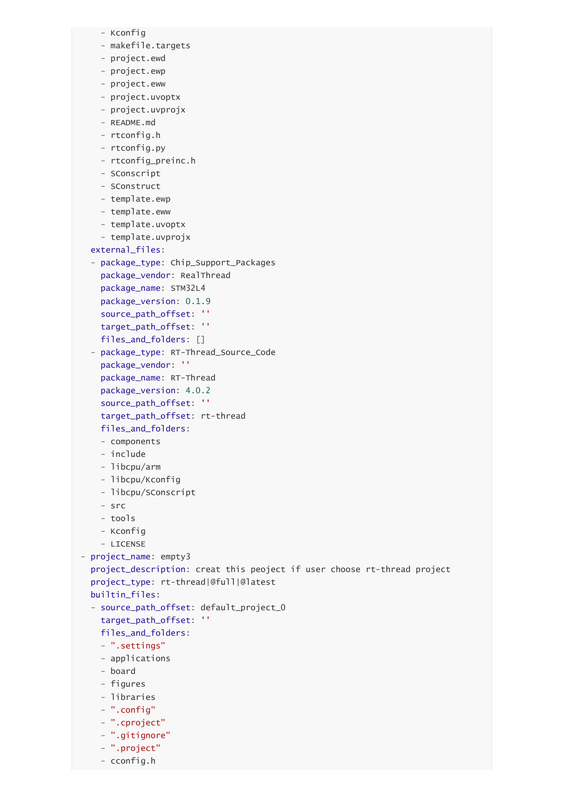```
- Kconfig
    - makefile.targets
    - project.ewd
   - project.ewp
    - project.eww
   - project.uvoptx
   - project.uvprojx
    - README.md
    - rtconfig.h
    - rtconfig.py
   - rtconfig_preinc.h
   - SConscript
    - SConstruct
    - template.ewp
    - template.eww
    - template.uvoptx
    - template.uvprojx
  external_files:
  - package_type: Chip_Support_Packages
    package_vendor: RealThread
    package_name: STM32L4
    package_version: 0.1.9
    source_path_offset: ''
    target_path_offset: ''
    files_and_folders: []
  - package_type: RT-Thread_Source_Code
    package_vendor: ''
    package_name: RT-Thread
    package_version: 4.0.2
    source_path_offset: ''
   target_path_offset: rt-thread
   files_and_folders:
   - components
    - include
    - libcpu/arm
   - libcpu/Kconfig
    - libcpu/SConscript
    - src
    - tools
    - Kconfig
    - LICENSE
- project_name: empty3
  project_description: creat this peoject if user choose rt-thread project
  project_type: rt-thread|@full|@latest
  builtin_files:
  - source_path_offset: default_project_0
    target_path_offset: ''
   files_and_folders:
   - ".settings"
    - applications
    - board
    - figures
   - libraries
    - ".config"
   - ".cproject"
    - ".gitignore"
```
- ".project" - cconfig.h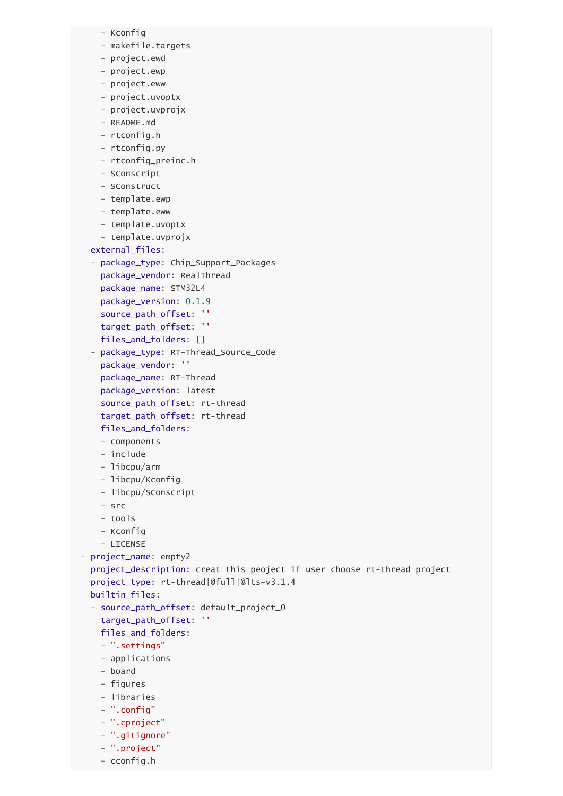```
- Kconfig
    - makefile.targets
    - project.ewd
   - project.ewp
    - project.eww
   - project.uvoptx
   - project.uvprojx
    - README.md
    - rtconfig.h
    - rtconfig.py
   - rtconfig_preinc.h
   - SConscript
    - SConstruct
    - template.ewp
    - template.eww
    - template.uvoptx
    - template.uvprojx
  external_files:
  - package_type: Chip_Support_Packages
    package_vendor: RealThread
    package_name: STM32L4
    package_version: 0.1.9
    source_path_offset: ''
    target_path_offset: ''
    files_and_folders: []
  - package_type: RT-Thread_Source_Code
    package_vendor: ''
    package_name: RT-Thread
    package_version: latest
    source_path_offset: rt-thread
   target_path_offset: rt-thread
   files_and_folders:
   - components
    - include
    - libcpu/arm
   - libcpu/Kconfig
    - libcpu/SConscript
    - src
    - tools
    - Kconfig
    - LICENSE
- project_name: empty2
  project_description: creat this peoject if user choose rt-thread project
  project_type: rt-thread|@full|@lts-v3.1.4
  builtin_files:
  - source_path_offset: default_project_0
    target_path_offset: ''
   files_and_folders:
   - ".settings"
    - applications
    - board
    - figures
   - libraries
    - ".config"
   - ".cproject"
```
- ".gitignore" - ".project" - cconfig.h